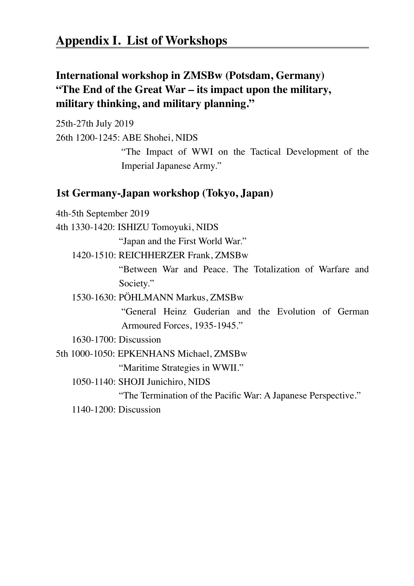## **International workshop in ZMSBw (Potsdam, Germany) "The End of the Great War – its impact upon the military, military thinking, and military planning."**

25th-27th July 2019 26th 1200-1245: ABE Shohei, NIDS

> "The Impact of WWI on the Tactical Development of the Imperial Japanese Army."

## **1st Germany-Japan workshop (Tokyo, Japan)**

4th-5th September 2019

4th 1330-1420: ISHIZU Tomoyuki, NIDS

"Japan and the First World War."

1420-1510: REICHHERZER Frank, ZMSBw

 "Between War and Peace. The Totalization of Warfare and Society."

1530-1630: PÖHLMANN Markus, ZMSBw

 "General Heinz Guderian and the Evolution of German Armoured Forces, 1935-1945."

1630-1700: Discussion

5th 1000-1050: EPKENHANS Michael, ZMSBw

"Maritime Strategies in WWII."

1050-1140: SHOJI Junichiro, NIDS

 "The Termination of the Pacific War: A Japanese Perspective."

1140-1200: Discussion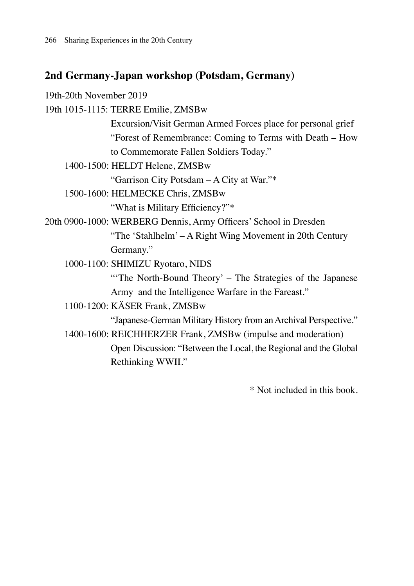## **2nd Germany-Japan workshop (Potsdam, Germany)**

19th-20th November 2019 19th 1015-1115: TERRE Emilie, ZMSBw Excursion/Visit German Armed Forces place for personal grief "Forest of Remembrance: Coming to Terms with Death – How to Commemorate Fallen Soldiers Today." 1400-1500: HELDT Helene, ZMSBw "Garrison City Potsdam – A City at War."\* 1500-1600: HELMECKE Chris, ZMSBw "What is Military Efficiency?"\* 20th 0900-1000: WERBERG Dennis, Army Officers' School in Dresden "The 'Stahlhelm' – A Right Wing Movement in 20th Century Germany." 1000-1100: SHIMIZU Ryotaro, NIDS "The North-Bound Theory' – The Strategies of the Japanese" Army and the Intelligence Warfare in the Fareast." 1100-1200: KÄSER Frank, ZMSBw "Japanese-German Military History from an Archival Perspective."

1400-1600: REICHHERZER Frank, ZMSBw (impulse and moderation) Open Discussion: "Between the Local, the Regional and the Global Rethinking WWII."

\* Not included in this book.